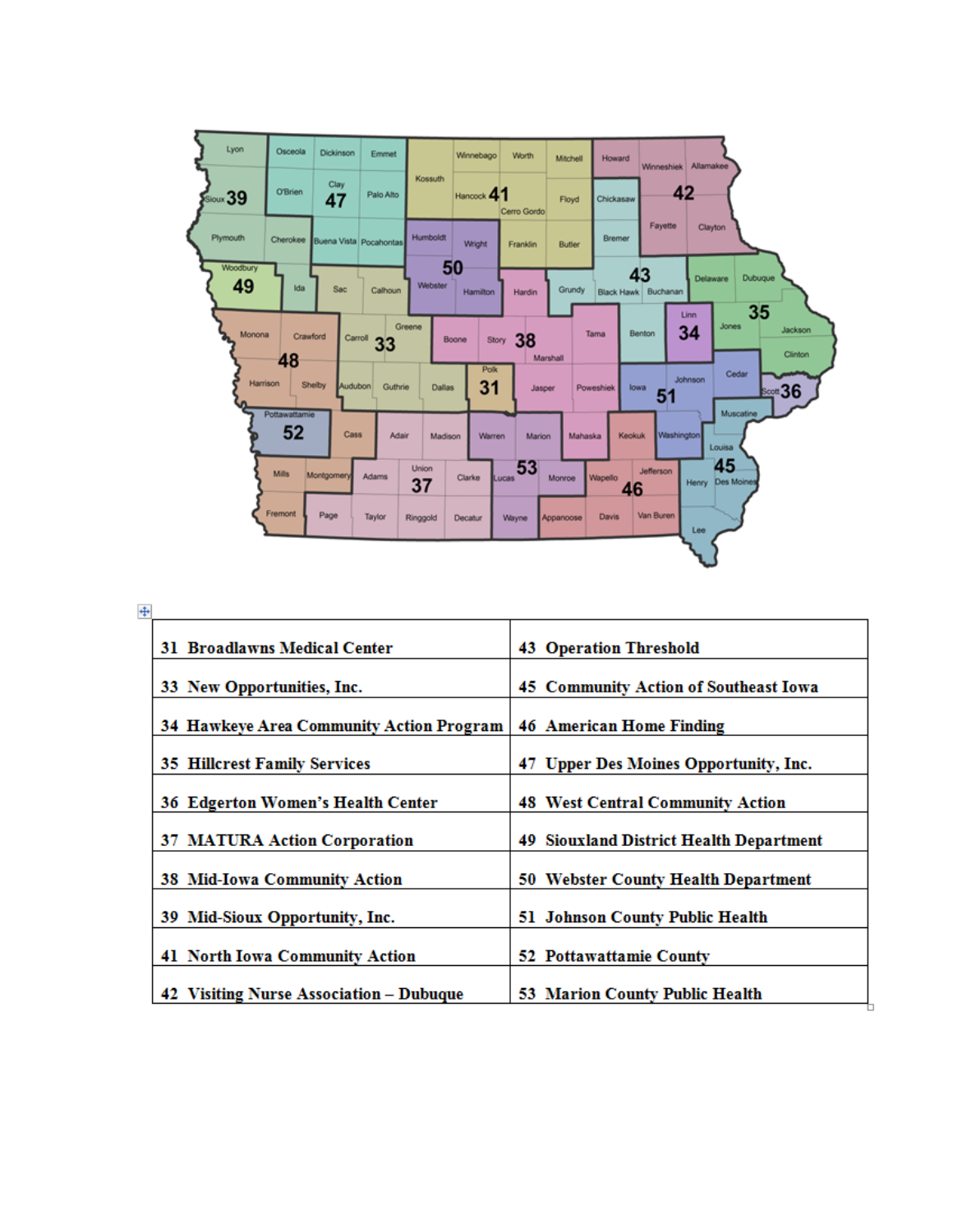

| <b>31 Broadlawns Medical Center</b>      | <b>43 Operation Threshold</b>           |
|------------------------------------------|-----------------------------------------|
| 33 New Opportunities, Inc.               | 45 Community Action of Southeast Iowa   |
| 34 Hawkeye Area Community Action Program | <b>46 American Home Finding</b>         |
| <b>35 Hillcrest Family Services</b>      | 47 Upper Des Moines Opportunity, Inc.   |
| 36 Edgerton Women's Health Center        | <b>48 West Central Community Action</b> |
| <b>37 MATURA Action Corporation</b>      | 49 Siouxland District Health Department |
| 38 Mid-Iowa Community Action             | 50 Webster County Health Department     |
|                                          |                                         |
| 39 Mid-Sioux Opportunity, Inc.           | 51 Johnson County Public Health         |
| 41 North Iowa Community Action           | 52 Pottawattamie County                 |
| 42 Visiting Nurse Association - Dubuque  | 53 Marion County Public Health          |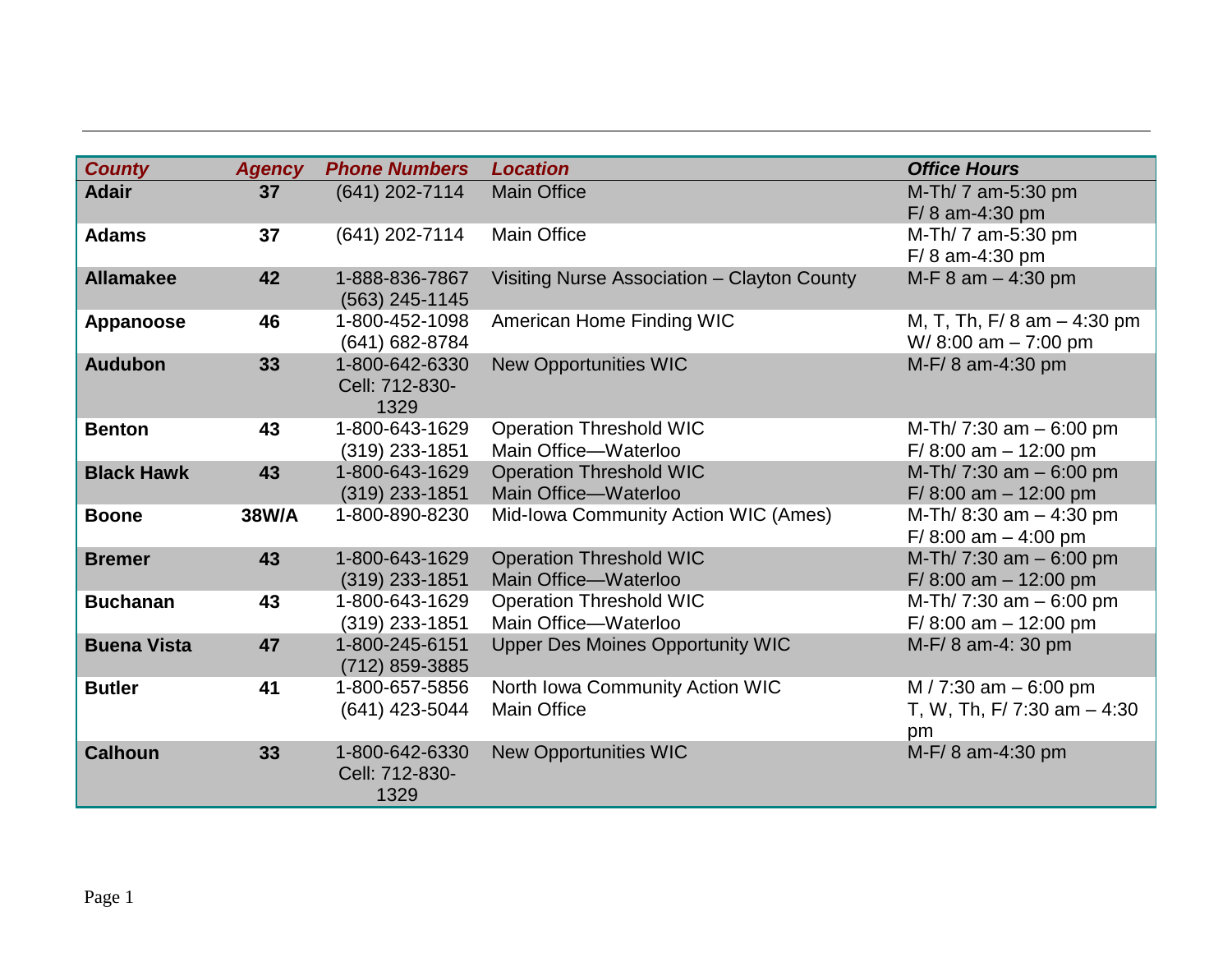| <b>County</b>      | <b>Agency</b> | <b>Phone Numbers</b>                     | <b>Location</b>                                        | <b>Office Hours</b>                                          |
|--------------------|---------------|------------------------------------------|--------------------------------------------------------|--------------------------------------------------------------|
| <b>Adair</b>       | 37            | $(641)$ 202-7114                         | <b>Main Office</b>                                     | M-Th/ 7 am-5:30 pm<br>$F/ 8$ am-4:30 pm                      |
| <b>Adams</b>       | 37            | (641) 202-7114                           | <b>Main Office</b>                                     | M-Th/ 7 am-5:30 pm<br>$F/ 8$ am-4:30 pm                      |
| <b>Allamakee</b>   | 42            | 1-888-836-7867<br>$(563)$ 245-1145       | Visiting Nurse Association - Clayton County            | M-F 8 am - 4:30 pm                                           |
| Appanoose          | 46            | 1-800-452-1098<br>(641) 682-8784         | American Home Finding WIC                              | M, T, Th, F/ 8 am $-$ 4:30 pm<br>W/8:00 am - 7:00 pm         |
| <b>Audubon</b>     | 33            | 1-800-642-6330<br>Cell: 712-830-<br>1329 | <b>New Opportunities WIC</b>                           | M-F/8 am-4:30 pm                                             |
| <b>Benton</b>      | 43            | 1-800-643-1629<br>$(319)$ 233-1851       | <b>Operation Threshold WIC</b><br>Main Office-Waterloo | M-Th/ 7:30 am $-6:00$ pm<br>$F/ 8:00$ am $- 12:00$ pm        |
| <b>Black Hawk</b>  | 43            | 1-800-643-1629<br>$(319)$ 233-1851       | <b>Operation Threshold WIC</b><br>Main Office-Waterloo | M-Th/ 7:30 am - 6:00 pm<br>$F/ 8:00$ am $- 12:00$ pm         |
| <b>Boone</b>       | 38W/A         | 1-800-890-8230                           | Mid-Iowa Community Action WIC (Ames)                   | M-Th/ 8:30 am - 4:30 pm<br>$F/ 8:00$ am $- 4:00$ pm          |
| <b>Bremer</b>      | 43            | 1-800-643-1629<br>$(319)$ 233-1851       | <b>Operation Threshold WIC</b><br>Main Office-Waterloo | M-Th/ 7:30 am - 6:00 pm<br>F/8:00 am $-$ 12:00 pm            |
| <b>Buchanan</b>    | 43            | 1-800-643-1629<br>$(319)$ 233-1851       | <b>Operation Threshold WIC</b><br>Main Office-Waterloo | M-Th/ 7:30 am $-6:00$ pm<br>$F/ 8:00$ am $- 12:00$ pm        |
| <b>Buena Vista</b> | 47            | 1-800-245-6151<br>(712) 859-3885         | <b>Upper Des Moines Opportunity WIC</b>                | M-F/8 am-4: 30 pm                                            |
| <b>Butler</b>      | 41            | 1-800-657-5856<br>(641) 423-5044         | North Iowa Community Action WIC<br><b>Main Office</b>  | M / 7:30 am $-6:00$ pm<br>T, W, Th, F/ 7:30 am $-4:30$<br>pm |
| <b>Calhoun</b>     | 33            | 1-800-642-6330<br>Cell: 712-830-<br>1329 | <b>New Opportunities WIC</b>                           | M-F/8 am-4:30 pm                                             |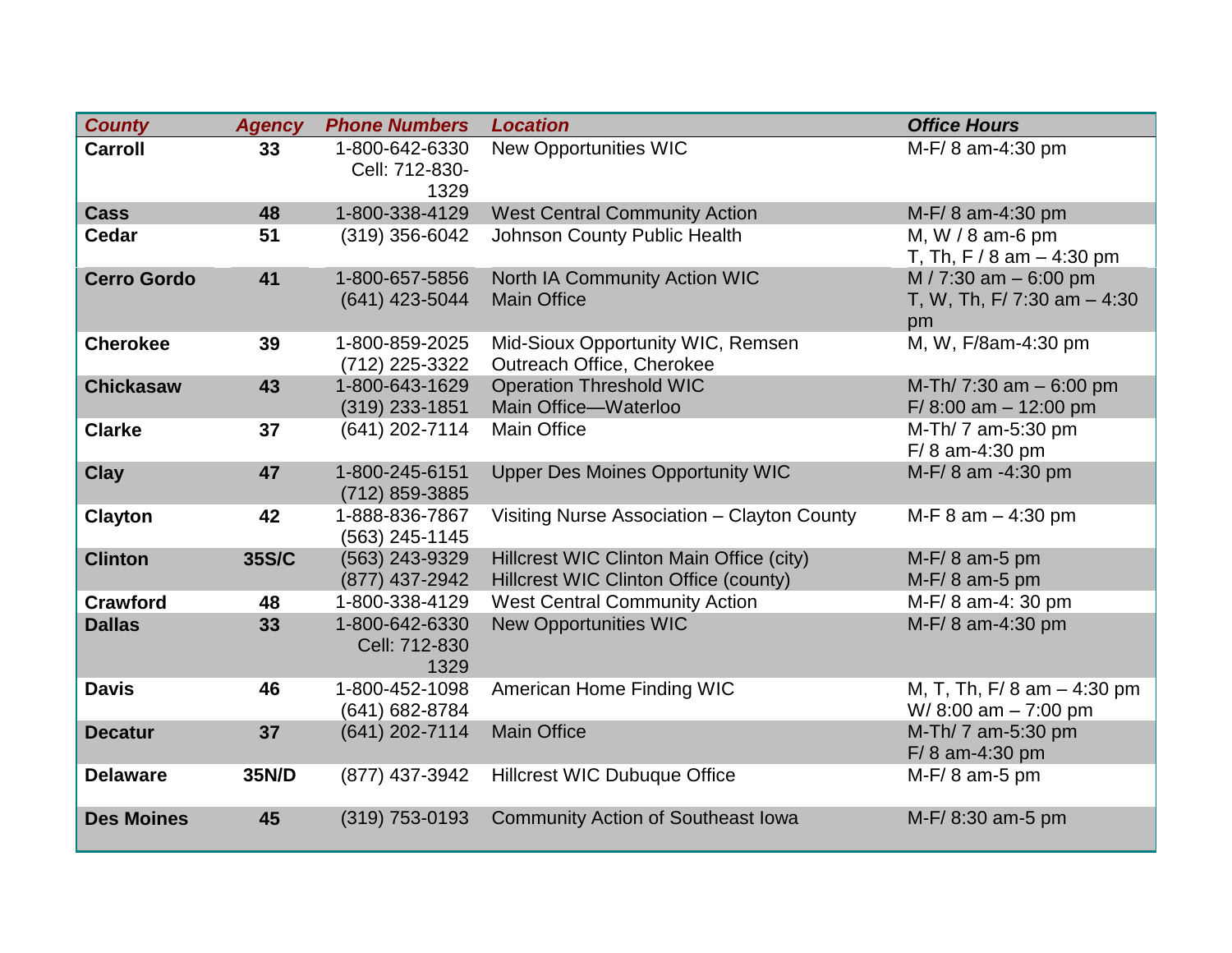| <b>County</b>      | <b>Agency</b> | <b>Phone Numbers</b>                     | <b>Location</b>                                                                   | <b>Office Hours</b>                                         |
|--------------------|---------------|------------------------------------------|-----------------------------------------------------------------------------------|-------------------------------------------------------------|
| <b>Carroll</b>     | 33            | 1-800-642-6330<br>Cell: 712-830-<br>1329 | <b>New Opportunities WIC</b>                                                      | M-F/8 am-4:30 pm                                            |
| <b>Cass</b>        | 48            | 1-800-338-4129                           | <b>West Central Community Action</b>                                              | M-F/8 am-4:30 pm                                            |
| <b>Cedar</b>       | 51            | (319) 356-6042                           | <b>Johnson County Public Health</b>                                               | M, W / 8 am-6 pm<br>T, Th, F / 8 am $-$ 4:30 pm             |
| <b>Cerro Gordo</b> | 41            | 1-800-657-5856<br>(641) 423-5044         | North IA Community Action WIC<br><b>Main Office</b>                               | M / 7:30 am - 6:00 pm<br>T, W, Th, F/ 7:30 am $-4:30$<br>pm |
| <b>Cherokee</b>    | 39            | 1-800-859-2025<br>(712) 225-3322         | Mid-Sioux Opportunity WIC, Remsen<br>Outreach Office, Cherokee                    | M, W, F/8am-4:30 pm                                         |
| <b>Chickasaw</b>   | 43            | 1-800-643-1629<br>$(319)$ 233-1851       | <b>Operation Threshold WIC</b><br>Main Office-Waterloo                            | M-Th/ 7:30 am $-6:00$ pm<br>$F/ 8:00$ am $- 12:00$ pm       |
| <b>Clarke</b>      | 37            | (641) 202-7114                           | <b>Main Office</b>                                                                | M-Th/ 7 am-5:30 pm<br>F/8 am-4:30 pm                        |
| <b>Clay</b>        | 47            | 1-800-245-6151<br>(712) 859-3885         | <b>Upper Des Moines Opportunity WIC</b>                                           | M-F/8 am -4:30 pm                                           |
| <b>Clayton</b>     | 42            | 1-888-836-7867<br>(563) 245-1145         | Visiting Nurse Association - Clayton County                                       | M-F $8$ am $-$ 4:30 pm                                      |
| <b>Clinton</b>     | 35S/C         | (563) 243-9329<br>(877) 437-2942         | Hillcrest WIC Clinton Main Office (city)<br>Hillcrest WIC Clinton Office (county) | $M-F/8$ am-5 pm<br>$M-F/8$ am-5 pm                          |
| <b>Crawford</b>    | 48            | 1-800-338-4129                           | <b>West Central Community Action</b>                                              | M-F/8 am-4: 30 pm                                           |
| <b>Dallas</b>      | 33            | 1-800-642-6330<br>Cell: 712-830<br>1329  | <b>New Opportunities WIC</b>                                                      | M-F/8 am-4:30 pm                                            |
| <b>Davis</b>       | 46            | 1-800-452-1098<br>(641) 682-8784         | American Home Finding WIC                                                         | M, T, Th, F/ 8 am $-$ 4:30 pm<br>W/8:00 am $-7:00$ pm       |
| <b>Decatur</b>     | 37            | (641) 202-7114                           | <b>Main Office</b>                                                                | M-Th/ 7 am-5:30 pm<br>F/8 am-4:30 pm                        |
| <b>Delaware</b>    | 35N/D         | (877) 437-3942                           | <b>Hillcrest WIC Dubuque Office</b>                                               | M-F/8 am-5 pm                                               |
| <b>Des Moines</b>  | 45            | $(319)$ 753-0193                         | <b>Community Action of Southeast Iowa</b>                                         | M-F/8:30 am-5 pm                                            |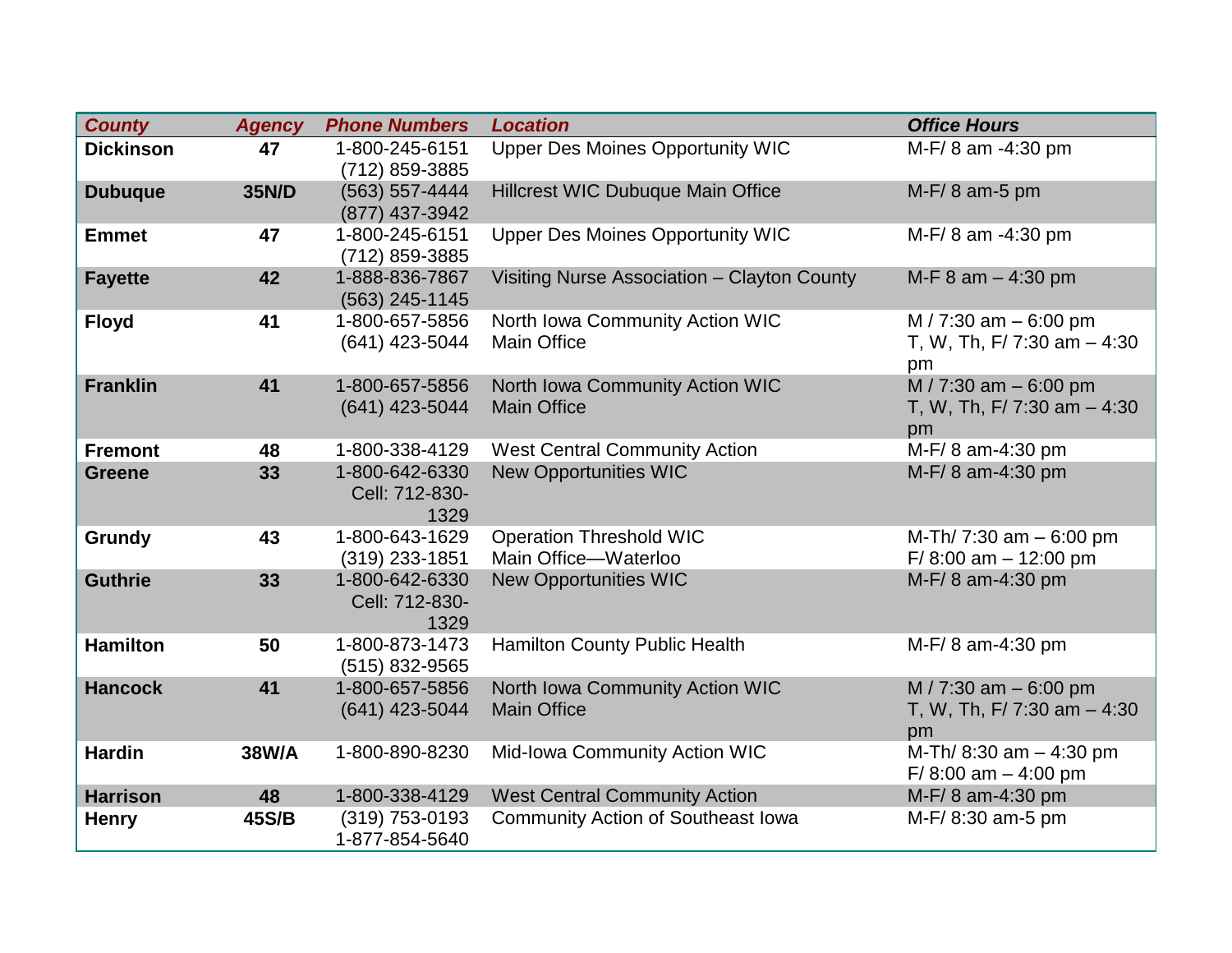| <b>County</b>    | <b>Agency</b> | <b>Phone Numbers</b>                     | <b>Location</b>                                        | <b>Office Hours</b>                                           |
|------------------|---------------|------------------------------------------|--------------------------------------------------------|---------------------------------------------------------------|
| <b>Dickinson</b> | 47            | 1-800-245-6151<br>(712) 859-3885         | <b>Upper Des Moines Opportunity WIC</b>                | M-F/8 am -4:30 pm                                             |
| <b>Dubuque</b>   | 35N/D         | (563) 557-4444<br>(877) 437-3942         | <b>Hillcrest WIC Dubuque Main Office</b>               | $M-F/8$ am-5 pm                                               |
| <b>Emmet</b>     | 47            | 1-800-245-6151<br>(712) 859-3885         | <b>Upper Des Moines Opportunity WIC</b>                | M-F/8 am -4:30 pm                                             |
| <b>Fayette</b>   | 42            | 1-888-836-7867<br>(563) 245-1145         | Visiting Nurse Association - Clayton County            | M-F $8$ am $-$ 4:30 pm                                        |
| <b>Floyd</b>     | 41            | 1-800-657-5856<br>(641) 423-5044         | North Iowa Community Action WIC<br><b>Main Office</b>  | M / 7:30 am $-6:00$ pm<br>T, W, Th, F/ 7:30 am $-4:30$<br>pm  |
| <b>Franklin</b>  | 41            | 1-800-657-5856<br>(641) 423-5044         | North Iowa Community Action WIC<br><b>Main Office</b>  | M / 7:30 am - 6:00 pm<br>T, W, Th, F/ 7:30 am $-4:30$<br>pm   |
| <b>Fremont</b>   | 48            | 1-800-338-4129                           | <b>West Central Community Action</b>                   | M-F/8 am-4:30 pm                                              |
| <b>Greene</b>    | 33            | 1-800-642-6330<br>Cell: 712-830-<br>1329 | <b>New Opportunities WIC</b>                           | M-F/8 am-4:30 pm                                              |
| Grundy           | 43            | 1-800-643-1629<br>(319) 233-1851         | <b>Operation Threshold WIC</b><br>Main Office-Waterloo | M-Th/ 7:30 am $-6:00$ pm<br>$F/ 8:00$ am $- 12:00$ pm         |
| <b>Guthrie</b>   | 33            | 1-800-642-6330<br>Cell: 712-830-<br>1329 | <b>New Opportunities WIC</b>                           | M-F/8 am-4:30 pm                                              |
| <b>Hamilton</b>  | 50            | 1-800-873-1473<br>(515) 832-9565         | Hamilton County Public Health                          | M-F/8 am-4:30 pm                                              |
| <b>Hancock</b>   | 41            | 1-800-657-5856<br>(641) 423-5044         | North Iowa Community Action WIC<br><b>Main Office</b>  | M / 7:30 am $-6:00$ pm<br>T, W, Th, F/ 7:30 am $-$ 4:30<br>pm |
| <b>Hardin</b>    | 38W/A         | 1-800-890-8230                           | Mid-Iowa Community Action WIC                          | M-Th/ 8:30 am - 4:30 pm<br>$F/ 8:00$ am $- 4:00$ pm           |
| <b>Harrison</b>  | 48            | 1-800-338-4129                           | <b>West Central Community Action</b>                   | M-F/8 am-4:30 pm                                              |
| <b>Henry</b>     | 45S/B         | (319) 753-0193<br>1-877-854-5640         | <b>Community Action of Southeast Iowa</b>              | M-F/8:30 am-5 pm                                              |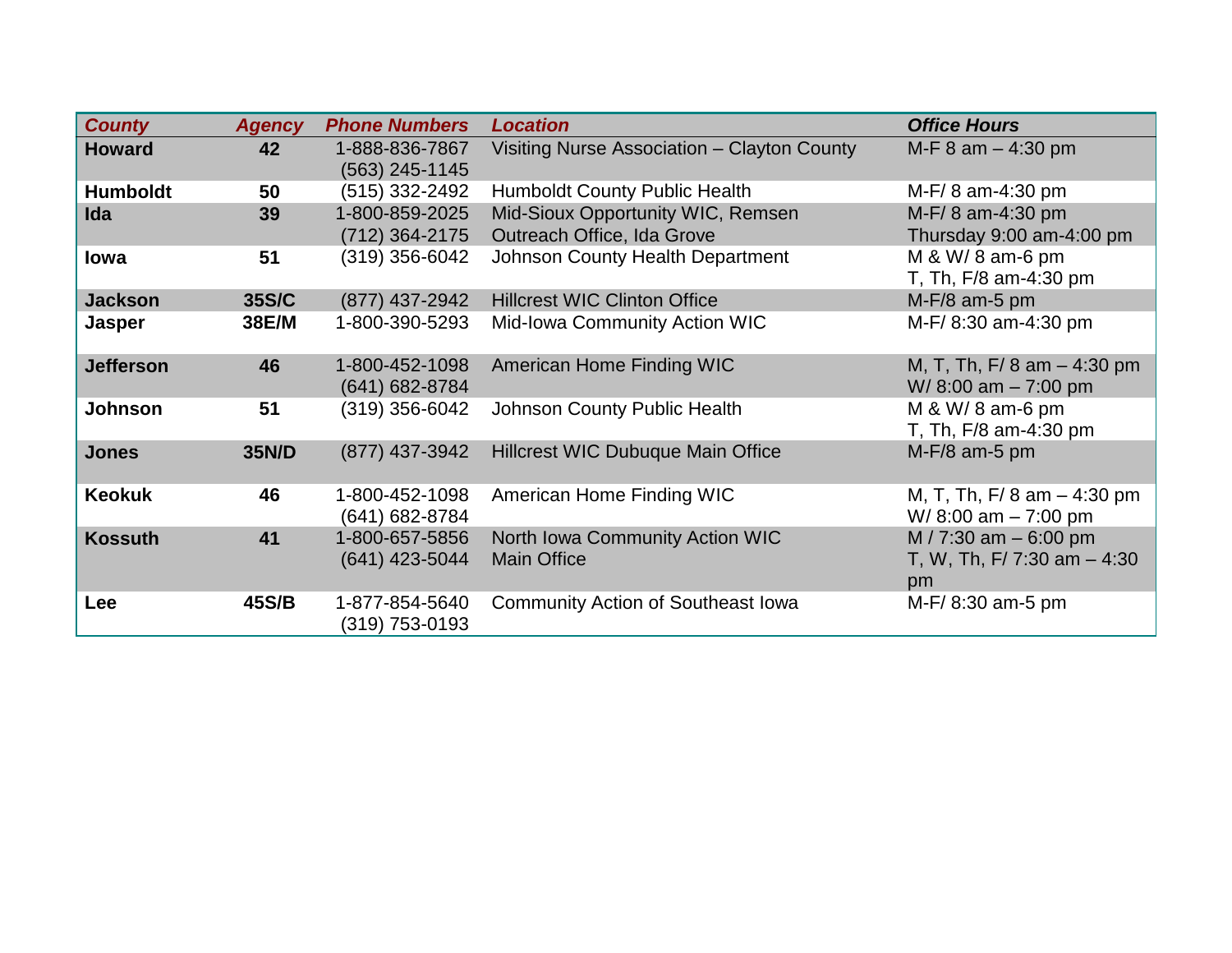| <b>County</b>    | <b>Agency</b> | <b>Phone Numbers</b>                 | <b>Location</b>                                       | <b>Office Hours</b>                                              |
|------------------|---------------|--------------------------------------|-------------------------------------------------------|------------------------------------------------------------------|
| <b>Howard</b>    | 42            | 1-888-836-7867<br>(563) 245-1145     | Visiting Nurse Association - Clayton County           | M-F $8$ am $-$ 4:30 pm                                           |
| <b>Humboldt</b>  | 50            | (515) 332-2492                       | <b>Humboldt County Public Health</b>                  | $M-F/8$ am-4:30 pm                                               |
| Ida              | 39            | 1-800-859-2025                       | Mid-Sioux Opportunity WIC, Remsen                     | M-F/8 am-4:30 pm                                                 |
|                  |               | (712) 364-2175                       | Outreach Office, Ida Grove                            | Thursday 9:00 am-4:00 pm                                         |
| lowa             | 51            | (319) 356-6042                       | Johnson County Health Department                      | M & W/ 8 am-6 pm<br>T, Th, F/8 am-4:30 pm                        |
| <b>Jackson</b>   | 35S/C         | (877) 437-2942                       | <b>Hillcrest WIC Clinton Office</b>                   | $M-F/8$ am-5 pm                                                  |
| Jasper           | 38E/M         | 1-800-390-5293                       | <b>Mid-Iowa Community Action WIC</b>                  | M-F/8:30 am-4:30 pm                                              |
| <b>Jefferson</b> | 46            | 1-800-452-1098<br>$(641) 682 - 8784$ | American Home Finding WIC                             | M, T, Th, F/ 8 am $-$ 4:30 pm<br>$W/ 8:00$ am $- 7:00$ pm        |
| <b>Johnson</b>   | 51            | (319) 356-6042                       | Johnson County Public Health                          | M & W/ 8 am-6 pm<br>T, Th, F/8 am-4:30 pm                        |
| <b>Jones</b>     | 35N/D         | (877) 437-3942                       | <b>Hillcrest WIC Dubuque Main Office</b>              | $M-F/8$ am-5 pm                                                  |
| <b>Keokuk</b>    | 46            | 1-800-452-1098<br>(641) 682-8784     | American Home Finding WIC                             | M, T, Th, F/ 8 am $-$ 4:30 pm<br>W/8:00 am $-7:00$ pm            |
| <b>Kossuth</b>   | 41            | 1-800-657-5856<br>$(641)$ 423-5044   | North Iowa Community Action WIC<br><b>Main Office</b> | $M / 7:30$ am $- 6:00$ pm<br>T, W, Th, F/ 7:30 am $-$ 4:30<br>pm |
| Lee              | 45S/B         | 1-877-854-5640<br>(319) 753-0193     | <b>Community Action of Southeast Iowa</b>             | M-F/8:30 am-5 pm                                                 |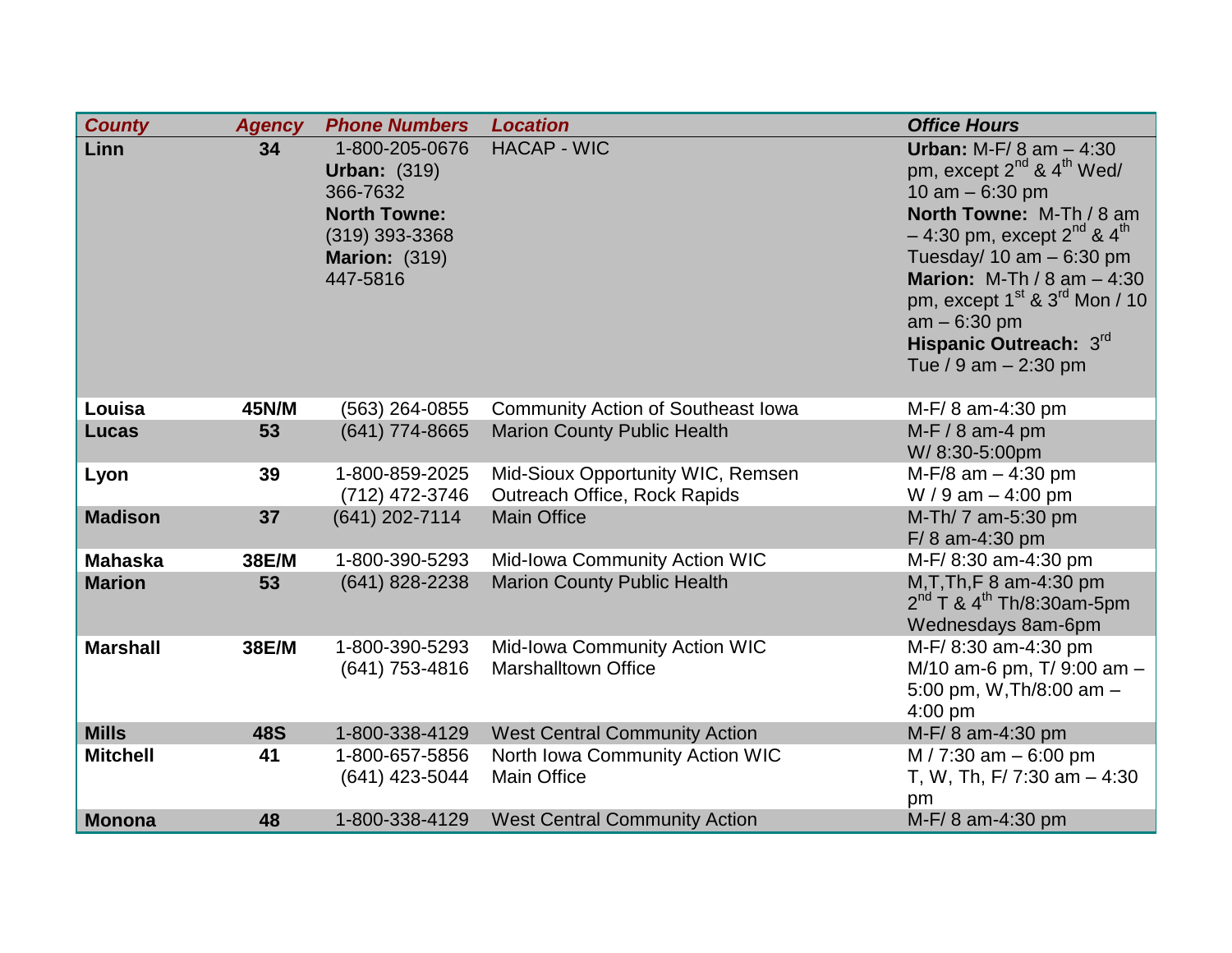| <b>County</b>   | <b>Agency</b> | <b>Phone Numbers</b>                  | <b>Location</b>                           | <b>Office Hours</b>                                                                     |
|-----------------|---------------|---------------------------------------|-------------------------------------------|-----------------------------------------------------------------------------------------|
| Linn            | 34            | 1-800-205-0676<br><b>Urban: (319)</b> | <b>HACAP - WIC</b>                        | <b>Urban:</b> M-F/ $8$ am $- 4:30$<br>pm, except 2 <sup>nd</sup> & 4 <sup>th</sup> Wed/ |
|                 |               | 366-7632                              |                                           | 10 am $-6:30$ pm                                                                        |
|                 |               | <b>North Towne:</b>                   |                                           | North Towne: M-Th / 8 am                                                                |
|                 |               | $(319)$ 393-3368                      |                                           | $-4:30$ pm, except $2^{nd}$ & $4^{th}$                                                  |
|                 |               | <b>Marion: (319)</b>                  |                                           | Tuesday/ $10 \text{ am} - 6:30 \text{ pm}$                                              |
|                 |               | 447-5816                              |                                           | <b>Marion:</b> M-Th / 8 am $-4:30$                                                      |
|                 |               |                                       |                                           | pm, except $1st$ & $3rd$ Mon / 10                                                       |
|                 |               |                                       |                                           | $am - 6:30 pm$                                                                          |
|                 |               |                                       |                                           | Hispanic Outreach: 3rd                                                                  |
|                 |               |                                       |                                           | Tue / 9 am $- 2:30$ pm                                                                  |
|                 |               |                                       |                                           |                                                                                         |
| Louisa          | 45N/M         | $(563)$ 264-0855                      | <b>Community Action of Southeast Iowa</b> | M-F/8 am-4:30 pm                                                                        |
| <b>Lucas</b>    | 53            | (641) 774-8665                        | <b>Marion County Public Health</b>        | $M-F/8$ am-4 pm                                                                         |
|                 |               |                                       |                                           | W/8:30-5:00pm                                                                           |
| Lyon            | 39            | 1-800-859-2025                        | Mid-Sioux Opportunity WIC, Remsen         | $M-F/8$ am $-4:30$ pm                                                                   |
|                 |               | (712) 472-3746                        | Outreach Office, Rock Rapids              | W / 9 am $-$ 4:00 pm                                                                    |
| <b>Madison</b>  | 37            | (641) 202-7114                        | <b>Main Office</b>                        | M-Th/ 7 am-5:30 pm                                                                      |
| <b>Mahaska</b>  | 38E/M         | 1-800-390-5293                        | Mid-Iowa Community Action WIC             | F/8 am-4:30 pm<br>M-F/8:30 am-4:30 pm                                                   |
| <b>Marion</b>   | 53            | (641) 828-2238                        | <b>Marion County Public Health</b>        | M, T, Th, F 8 am-4:30 pm                                                                |
|                 |               |                                       |                                           | $2^{nd}$ T & 4 <sup>th</sup> Th/8:30am-5pm                                              |
|                 |               |                                       |                                           | Wednesdays 8am-6pm                                                                      |
| <b>Marshall</b> | 38E/M         | 1-800-390-5293                        | Mid-Iowa Community Action WIC             | M-F/8:30 am-4:30 pm                                                                     |
|                 |               | (641) 753-4816                        | <b>Marshalltown Office</b>                | M/10 am-6 pm, T/ 9:00 am -                                                              |
|                 |               |                                       |                                           | 5:00 pm, W, Th/8:00 am $-$                                                              |
|                 |               |                                       |                                           | $4:00$ pm                                                                               |
| <b>Mills</b>    | <b>48S</b>    | 1-800-338-4129                        | <b>West Central Community Action</b>      | M-F/8 am-4:30 pm                                                                        |
| <b>Mitchell</b> | 41            | 1-800-657-5856                        | North Iowa Community Action WIC           | M / 7:30 am $-6:00$ pm                                                                  |
|                 |               | (641) 423-5044                        | <b>Main Office</b>                        | T, W, Th, F/ 7:30 am $-4:30$                                                            |
|                 |               |                                       |                                           | pm                                                                                      |
| <b>Monona</b>   | 48            | 1-800-338-4129                        | <b>West Central Community Action</b>      | M-F/8 am-4:30 pm                                                                        |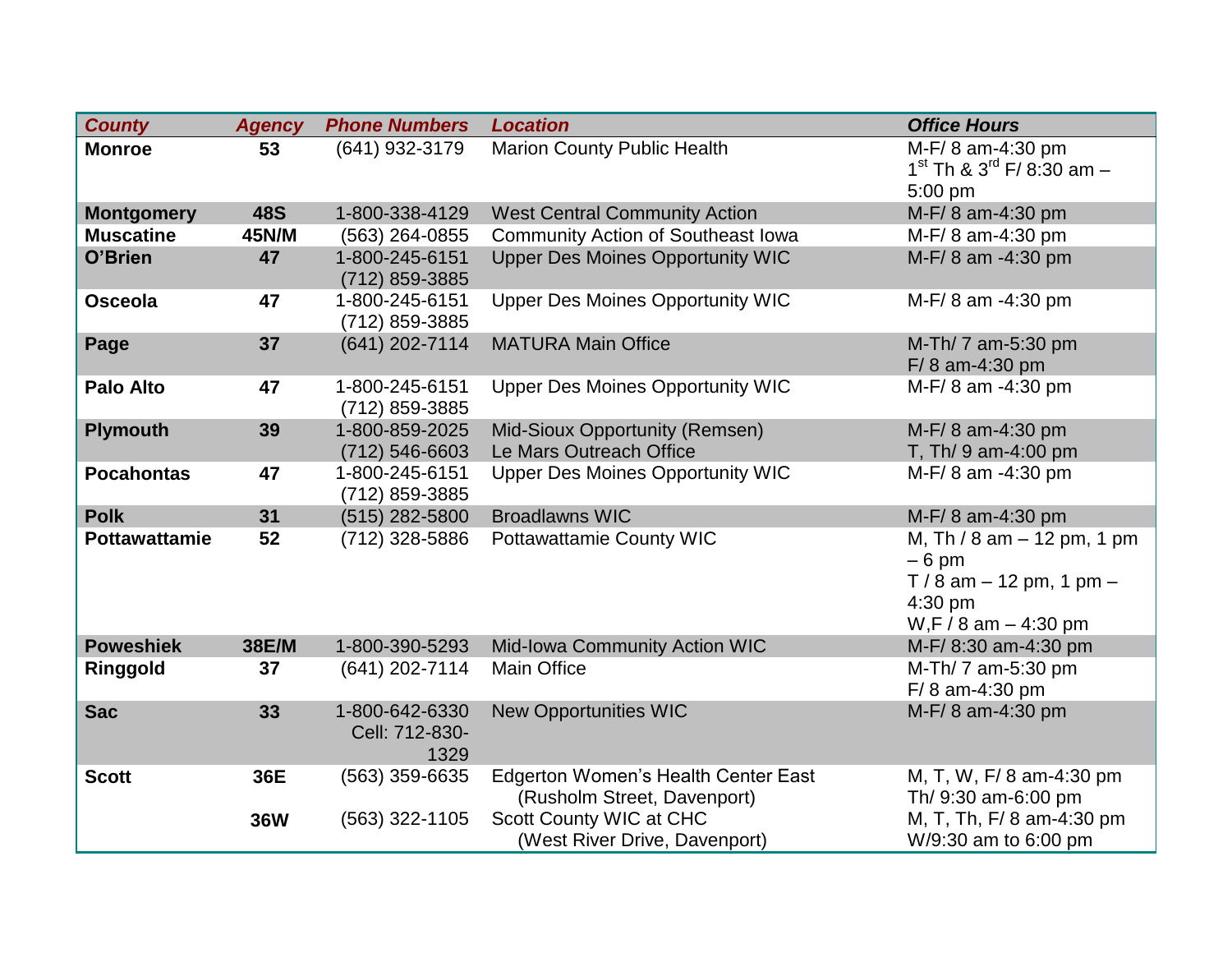| <b>County</b>        | <b>Agency</b> | <b>Phone Numbers</b>                     | <b>Location</b>                                                    | <b>Office Hours</b>                                                                                              |
|----------------------|---------------|------------------------------------------|--------------------------------------------------------------------|------------------------------------------------------------------------------------------------------------------|
| <b>Monroe</b>        | 53            | (641) 932-3179                           | <b>Marion County Public Health</b>                                 | M-F/8 am-4:30 pm<br>$1^{st}$ Th & $3^{rd}$ F/ 8:30 am -<br>5:00 pm                                               |
| <b>Montgomery</b>    | <b>48S</b>    | 1-800-338-4129                           | <b>West Central Community Action</b>                               | M-F/8 am-4:30 pm                                                                                                 |
| <b>Muscatine</b>     | 45N/M         | (563) 264-0855                           | <b>Community Action of Southeast Iowa</b>                          | M-F/8 am-4:30 pm                                                                                                 |
| O'Brien              | 47            | 1-800-245-6151<br>(712) 859-3885         | <b>Upper Des Moines Opportunity WIC</b>                            | M-F/8 am -4:30 pm                                                                                                |
| <b>Osceola</b>       | 47            | 1-800-245-6151<br>(712) 859-3885         | <b>Upper Des Moines Opportunity WIC</b>                            | M-F/8 am -4:30 pm                                                                                                |
| Page                 | 37            | (641) 202-7114                           | <b>MATURA Main Office</b>                                          | M-Th/ 7 am-5:30 pm<br>F/8 am-4:30 pm                                                                             |
| <b>Palo Alto</b>     | 47            | 1-800-245-6151<br>(712) 859-3885         | <b>Upper Des Moines Opportunity WIC</b>                            | M-F/8 am -4:30 pm                                                                                                |
| <b>Plymouth</b>      | 39            | 1-800-859-2025<br>(712) 546-6603         | Mid-Sioux Opportunity (Remsen)<br>Le Mars Outreach Office          | M-F/8 am-4:30 pm<br>T, Th/ 9 am-4:00 pm                                                                          |
| <b>Pocahontas</b>    | 47            | 1-800-245-6151<br>(712) 859-3885         | <b>Upper Des Moines Opportunity WIC</b>                            | M-F/8 am -4:30 pm                                                                                                |
| <b>Polk</b>          | 31            | (515) 282-5800                           | <b>Broadlawns WIC</b>                                              | M-F/8 am-4:30 pm                                                                                                 |
| <b>Pottawattamie</b> | 52            | (712) 328-5886                           | <b>Pottawattamie County WIC</b>                                    | M, Th / 8 am $-$ 12 pm, 1 pm<br>$-6$ pm<br>$T/8$ am $-12$ pm, 1 pm $-$<br>$4:30$ pm<br>$W, F / 8$ am $- 4:30$ pm |
| <b>Poweshiek</b>     | 38E/M         | 1-800-390-5293                           | Mid-Iowa Community Action WIC                                      | M-F/8:30 am-4:30 pm                                                                                              |
| Ringgold             | 37            | (641) 202-7114                           | <b>Main Office</b>                                                 | M-Th/ 7 am-5:30 pm<br>$F/ 8$ am-4:30 pm                                                                          |
| <b>Sac</b>           | 33            | 1-800-642-6330<br>Cell: 712-830-<br>1329 | <b>New Opportunities WIC</b>                                       | M-F/8 am-4:30 pm                                                                                                 |
| <b>Scott</b>         | 36E           | (563) 359-6635                           | Edgerton Women's Health Center East<br>(Rusholm Street, Davenport) | M, T, W, F/8 am-4:30 pm<br>Th/ 9:30 am-6:00 pm                                                                   |
|                      | <b>36W</b>    | (563) 322-1105                           | Scott County WIC at CHC<br>(West River Drive, Davenport)           | M, T, Th, F/ 8 am-4:30 pm<br>W/9:30 am to 6:00 pm                                                                |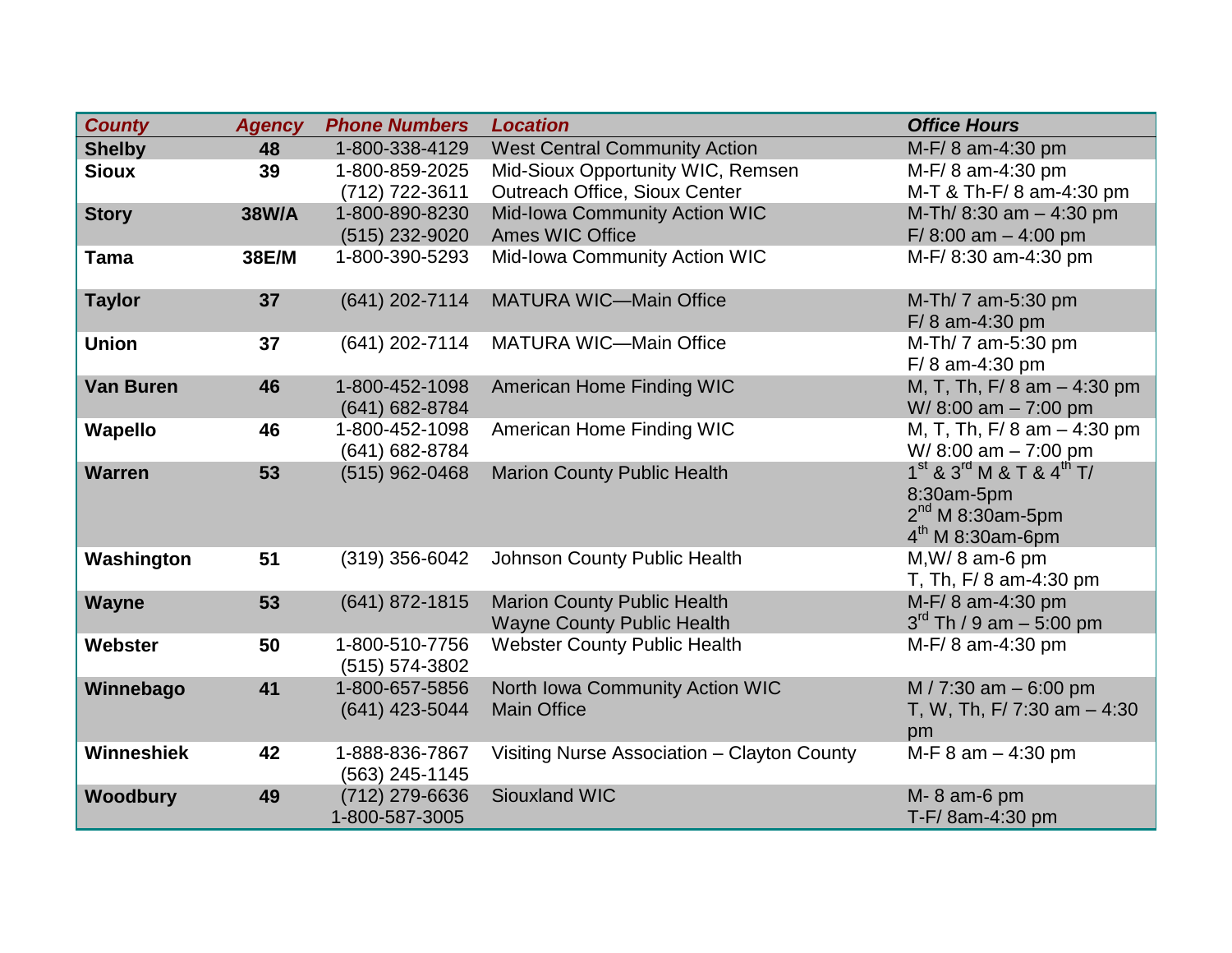| <b>County</b>    | <b>Agency</b> | <b>Phone Numbers</b>                 | <b>Location</b>                                                         | <b>Office Hours</b>                                                                                  |
|------------------|---------------|--------------------------------------|-------------------------------------------------------------------------|------------------------------------------------------------------------------------------------------|
| <b>Shelby</b>    | 48            | 1-800-338-4129                       | <b>West Central Community Action</b>                                    | M-F/8 am-4:30 pm                                                                                     |
| <b>Sioux</b>     | 39            | 1-800-859-2025                       | Mid-Sioux Opportunity WIC, Remsen                                       | M-F/8 am-4:30 pm                                                                                     |
|                  |               | (712) 722-3611                       | Outreach Office, Sioux Center                                           | M-T & Th-F/8 am-4:30 pm                                                                              |
| <b>Story</b>     | <b>38W/A</b>  | 1-800-890-8230                       | Mid-Iowa Community Action WIC                                           | M-Th/ 8:30 am - 4:30 pm                                                                              |
|                  |               | (515) 232-9020                       | <b>Ames WIC Office</b>                                                  | F/ $8:00$ am $-4:00$ pm                                                                              |
| <b>Tama</b>      | 38E/M         | 1-800-390-5293                       | Mid-Iowa Community Action WIC                                           | M-F/8:30 am-4:30 pm                                                                                  |
| <b>Taylor</b>    | 37            | (641) 202-7114                       | <b>MATURA WIC-Main Office</b>                                           | M-Th/ 7 am-5:30 pm<br>$F/ 8$ am-4:30 pm                                                              |
| <b>Union</b>     | 37            | (641) 202-7114                       | <b>MATURA WIC-Main Office</b>                                           | M-Th/ 7 am-5:30 pm<br>F/8 am-4:30 pm                                                                 |
| <b>Van Buren</b> | 46            | 1-800-452-1098<br>(641) 682-8784     | American Home Finding WIC                                               | M, T, Th, F/ 8 am - 4:30 pm<br>W/8:00 am - 7:00 pm                                                   |
| Wapello          | 46            | 1-800-452-1098<br>(641) 682-8784     | American Home Finding WIC                                               | M, T, Th, F/ 8 am $-$ 4:30 pm<br>W/8:00 am $-7:00$ pm                                                |
| <b>Warren</b>    | 53            | (515) 962-0468                       | <b>Marion County Public Health</b>                                      | $1^{st}$ & $3^{rd}$ M & T & $4^{th}$ T/<br>8:30am-5pm<br>$2^{nd}$ M 8:30am-5pm<br>$4th$ M 8:30am-6pm |
| Washington       | 51            | (319) 356-6042                       | Johnson County Public Health                                            | $M, W/ 8$ am-6 pm<br>T, Th, F/8 am-4:30 pm                                                           |
| Wayne            | 53            | (641) 872-1815                       | <b>Marion County Public Health</b><br><b>Wayne County Public Health</b> | M-F/8 am-4:30 pm<br>$3^{rd}$ Th / 9 am $-$ 5:00 pm                                                   |
| Webster          | 50            | 1-800-510-7756<br>$(515) 574 - 3802$ | <b>Webster County Public Health</b>                                     | M-F/8 am-4:30 pm                                                                                     |
| Winnebago        | 41            | 1-800-657-5856<br>(641) 423-5044     | North Iowa Community Action WIC<br><b>Main Office</b>                   | M / 7:30 am $-6:00$ pm<br>T, W, Th, F/ 7:30 am $-4:30$<br>pm                                         |
| Winneshiek       | 42            | 1-888-836-7867<br>(563) 245-1145     | Visiting Nurse Association - Clayton County                             | M-F $8$ am $-$ 4:30 pm                                                                               |
| <b>Woodbury</b>  | 49            | (712) 279-6636<br>1-800-587-3005     | <b>Siouxland WIC</b>                                                    | M-8 am-6 pm<br>T-F/8am-4:30 pm                                                                       |